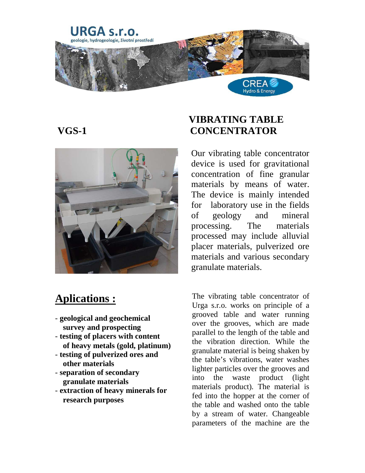



## **Aplications :**

- **geological and geochemical survey and prospecting**
- - **testing of placers with content of heavy metals (gold, platinum)**
- - **testing of pulverized ores and other materials**
- - **separation of secondary granulate materials**
- - **extraction of heavy minerals for research purposes**

## **VIBRATING TABLE VGS-1 CONCENTRATOR**

Our vibrating table concentrator device is used for gravitational concentration of fine granular materials by means of water. The device is mainly intended for laboratory use in the fields of geology and mineral processing. The materials processed may include alluvial placer materials, pulverized ore materials and various secondary granulate materials.

The vibrating table concentrator of Urga s.r.o. works on principle of a grooved table and water running over the grooves, which are made parallel to the length of the table and the vibration direction. While the granulate material is being shaken by the table's vibrations, water washes lighter particles over the grooves and into the waste product (light materials product). The material is fed into the hopper at the corner of the table and washed onto the table by a stream of water. Changeable parameters of the machine are the